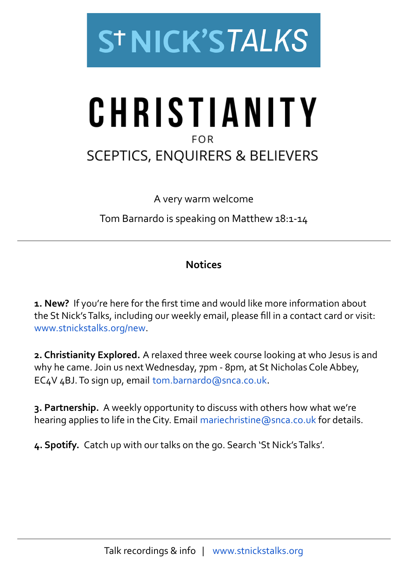

## CHRISTIANITY **FOR SCEPTICS, ENQUIRERS & BELIEVERS**

A very warm welcome

Tom Barnardo is speaking on Matthew 18:1-14

## **Notices**

**1. New?** If you're here for the first time and would like more information about the St Nick's Talks, including our weekly email, please fill in a contact card or visit: [www.stnickstalks.org/new.](http://www.stnickstalks.org/new)

**2. Christianity Explored.** A relaxed three week course looking at who Jesus is and why he came. Join us next Wednesday, 7pm - 8pm, at St Nicholas Cole Abbey, EC4V 4BJ. To sign up, email [tom.barnardo@snca.co.uk](mailto:tom.barnardo@snca.co.uk).

**3. Partnership.** A weekly opportunity to discuss with others how what we're hearing applies to life in the City. Email [mariechristine@snca.co.uk](mailto:mariechristine@snca.co.uk) for details.

**4. Spotify.** Catch up with our talks on the go. Search 'St Nick's Talks'.